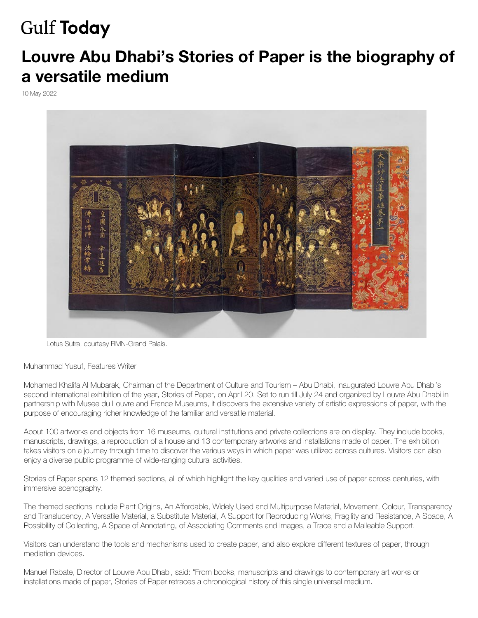## **Gulf Today**

## **Louvre Ab[u Dhabi's Stories o](https://www.gulftoday.ae/)f Paper is the biography of a versatile medium**

10 May 2022



Lotus Sutra, courtesy RMN-Grand Palais.

Muhammad Yusuf, Features Writer

Mohamed Khalifa Al Mubarak, Chairman of the Department of Culture and Tourism – Abu Dhabi, inaugurated Louvre Abu Dhabi's second international exhibition of the year, Stories of Paper, on April 20. Set to run till July 24 and organized by Louvre Abu Dhabi in partnership with Musee du Louvre and France Museums, it discovers the extensive variety of artistic expressions of paper, with the purpose of encouraging richer knowledge of the familiar and versatile material.

About 100 artworks and objects from 16 museums, cultural institutions and private collections are on display. They include books, manuscripts, drawings, a reproduction of a house and 13 contemporary artworks and installations made of paper. The exhibition takes visitors on a journey through time to discover the various ways in which paper was utilized across cultures. Visitors can also enjoy a diverse public programme of wide-ranging cultural activities.

Stories of Paper spans 12 themed sections, all of which highlight the key qualities and varied use of paper across centuries, with immersive scenography.

The themed sections include Plant Origins, An Affordable, Widely Used and Multipurpose Material, Movement, Colour, Transparency and Translucency, A Versatile Material, a Substitute Material, A Support for Reproducing Works, Fragility and Resistance, A Space, A Possibility of Collecting, A Space of Annotating, of Associating Comments and Images, a Trace and a Malleable Support.

Visitors can understand the tools and mechanisms used to create paper, and also explore different textures of paper, through mediation devices.

Manuel Rabate, Director of Louvre Abu Dhabi, said: "From books, manuscripts and drawings to contemporary art works or installations made of paper, Stories of Paper retraces a chronological history of this single universal medium.